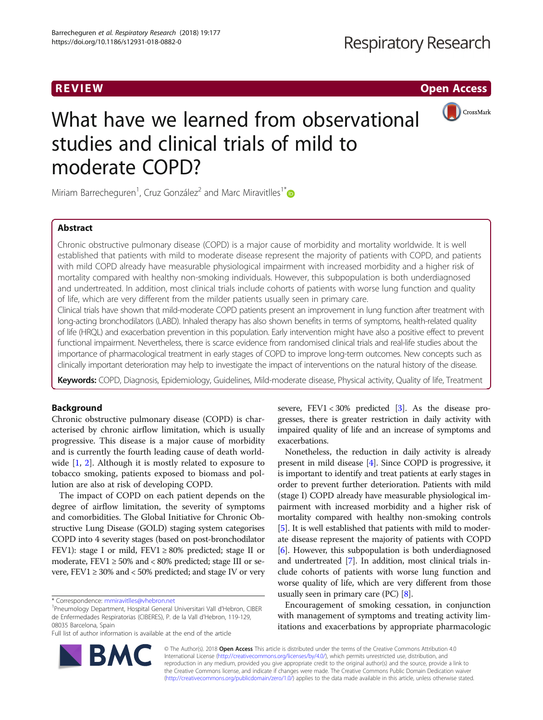R EVI EW Open Access



# What have we learned from observational studies and clinical trials of mild to moderate COPD?

Miriam Barrecheguren<sup>1</sup>, Cruz González<sup>2</sup> and Marc Miravitlles<sup>1\*</sup>

# Abstract

Chronic obstructive pulmonary disease (COPD) is a major cause of morbidity and mortality worldwide. It is well established that patients with mild to moderate disease represent the majority of patients with COPD, and patients with mild COPD already have measurable physiological impairment with increased morbidity and a higher risk of mortality compared with healthy non-smoking individuals. However, this subpopulation is both underdiagnosed and undertreated. In addition, most clinical trials include cohorts of patients with worse lung function and quality of life, which are very different from the milder patients usually seen in primary care.

Clinical trials have shown that mild-moderate COPD patients present an improvement in lung function after treatment with long-acting bronchodilators (LABD). Inhaled therapy has also shown benefits in terms of symptoms, health-related quality of life (HRQL) and exacerbation prevention in this population. Early intervention might have also a positive effect to prevent functional impairment. Nevertheless, there is scarce evidence from randomised clinical trials and real-life studies about the importance of pharmacological treatment in early stages of COPD to improve long-term outcomes. New concepts such as clinically important deterioration may help to investigate the impact of interventions on the natural history of the disease.

Keywords: COPD, Diagnosis, Epidemiology, Guidelines, Mild-moderate disease, Physical activity, Quality of life, Treatment

# Background

Chronic obstructive pulmonary disease (COPD) is characterised by chronic airflow limitation, which is usually progressive. This disease is a major cause of morbidity and is currently the fourth leading cause of death world-wide [\[1](#page-8-0), [2\]](#page-8-0). Although it is mostly related to exposure to tobacco smoking, patients exposed to biomass and pollution are also at risk of developing COPD.

The impact of COPD on each patient depends on the degree of airflow limitation, the severity of symptoms and comorbidities. The Global Initiative for Chronic Obstructive Lung Disease (GOLD) staging system categorises COPD into 4 severity stages (based on post-bronchodilator FEV1): stage I or mild, FEV1 ≥ 80% predicted; stage II or moderate,  $FEV1 \ge 50\%$  and < 80% predicted; stage III or severe,  $FEV1 \ge 30\%$  and < 50% predicted; and stage IV or very

Full list of author information is available at the end of the article

severe, FEV1 < 30% predicted [\[3](#page-8-0)]. As the disease progresses, there is greater restriction in daily activity with impaired quality of life and an increase of symptoms and exacerbations.

Nonetheless, the reduction in daily activity is already present in mild disease [[4\]](#page-8-0). Since COPD is progressive, it is important to identify and treat patients at early stages in order to prevent further deterioration. Patients with mild (stage I) COPD already have measurable physiological impairment with increased morbidity and a higher risk of mortality compared with healthy non-smoking controls [[5\]](#page-8-0). It is well established that patients with mild to moderate disease represent the majority of patients with COPD [[6\]](#page-8-0). However, this subpopulation is both underdiagnosed and undertreated [\[7\]](#page-8-0). In addition, most clinical trials include cohorts of patients with worse lung function and worse quality of life, which are very different from those usually seen in primary care  $(PC)$   $[8]$ .

Encouragement of smoking cessation, in conjunction with management of symptoms and treating activity limitations and exacerbations by appropriate pharmacologic



© The Author(s). 2018 Open Access This article is distributed under the terms of the Creative Commons Attribution 4.0 International License [\(http://creativecommons.org/licenses/by/4.0/](http://creativecommons.org/licenses/by/4.0/)), which permits unrestricted use, distribution, and reproduction in any medium, provided you give appropriate credit to the original author(s) and the source, provide a link to the Creative Commons license, and indicate if changes were made. The Creative Commons Public Domain Dedication waiver [\(http://creativecommons.org/publicdomain/zero/1.0/](http://creativecommons.org/publicdomain/zero/1.0/)) applies to the data made available in this article, unless otherwise stated.

<sup>\*</sup> Correspondence: [mmiravitlles@vhebron.net](mailto:mmiravitlles@vhebron.net) <sup>1</sup>

Pneumology Department, Hospital General Universitari Vall d'Hebron, CIBER de Enfermedades Respiratorias (CIBERES), P. de la Vall d'Hebron, 119-129, 08035 Barcelona, Spain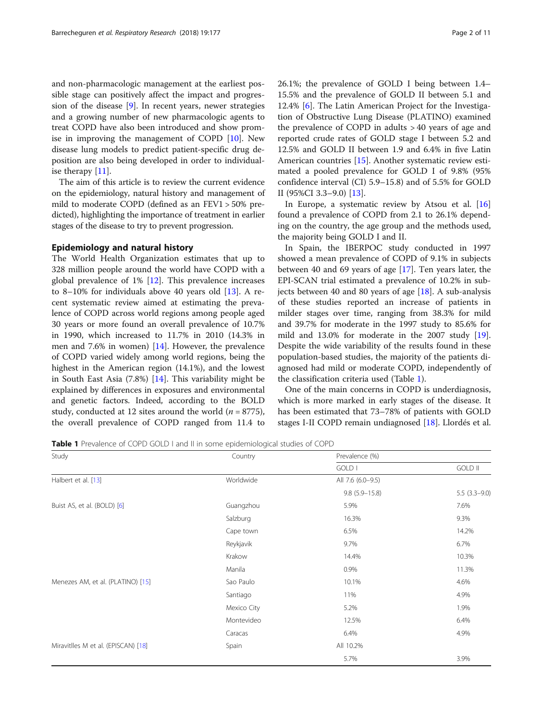and non-pharmacologic management at the earliest possible stage can positively affect the impact and progression of the disease [\[9](#page-8-0)]. In recent years, newer strategies and a growing number of new pharmacologic agents to treat COPD have also been introduced and show promise in improving the management of COPD [\[10](#page-8-0)]. New disease lung models to predict patient-specific drug deposition are also being developed in order to individualise therapy [\[11\]](#page-8-0).

The aim of this article is to review the current evidence on the epidemiology, natural history and management of mild to moderate COPD (defined as an FEV1 > 50% predicted), highlighting the importance of treatment in earlier stages of the disease to try to prevent progression.

# Epidemiology and natural history

The World Health Organization estimates that up to 328 million people around the world have COPD with a global prevalence of 1% [\[12](#page-8-0)]. This prevalence increases to 8–10% for individuals above 40 years old [\[13\]](#page-8-0). A recent systematic review aimed at estimating the prevalence of COPD across world regions among people aged 30 years or more found an overall prevalence of 10.7% in 1990, which increased to 11.7% in 2010 (14.3% in men and 7.6% in women) [\[14](#page-8-0)]. However, the prevalence of COPD varied widely among world regions, being the highest in the American region (14.1%), and the lowest in South East Asia (7.8%) [[14\]](#page-8-0). This variability might be explained by differences in exposures and environmental and genetic factors. Indeed, according to the BOLD study, conducted at 12 sites around the world ( $n = 8775$ ), the overall prevalence of COPD ranged from 11.4 to 26.1%; the prevalence of GOLD I being between 1.4– 15.5% and the prevalence of GOLD II between 5.1 and 12.4% [[6\]](#page-8-0). The Latin American Project for the Investigation of Obstructive Lung Disease (PLATINO) examined the prevalence of COPD in adults > 40 years of age and reported crude rates of GOLD stage I between 5.2 and 12.5% and GOLD II between 1.9 and 6.4% in five Latin American countries [[15](#page-8-0)]. Another systematic review estimated a pooled prevalence for GOLD I of 9.8% (95% confidence interval (CI) 5.9–15.8) and of 5.5% for GOLD II (95%CI 3.3–9.0) [\[13\]](#page-8-0).

In Europe, a systematic review by Atsou et al. [[16](#page-8-0)] found a prevalence of COPD from 2.1 to 26.1% depending on the country, the age group and the methods used, the majority being GOLD I and II.

In Spain, the IBERPOC study conducted in 1997 showed a mean prevalence of COPD of 9.1% in subjects between 40 and 69 years of age [\[17\]](#page-8-0). Ten years later, the EPI-SCAN trial estimated a prevalence of 10.2% in subjects between 40 and 80 years of age  $[18]$  $[18]$ . A sub-analysis of these studies reported an increase of patients in milder stages over time, ranging from 38.3% for mild and 39.7% for moderate in the 1997 study to 85.6% for mild and 13.0% for moderate in the 2007 study [\[19](#page-8-0)]. Despite the wide variability of the results found in these population-based studies, the majority of the patients diagnosed had mild or moderate COPD, independently of the classification criteria used (Table 1).

One of the main concerns in COPD is underdiagnosis, which is more marked in early stages of the disease. It has been estimated that 73–78% of patients with GOLD stages I-II COPD remain undiagnosed [[18](#page-8-0)]. Llordés et al.

Table 1 Prevalence of COPD GOLD I and II in some epidemiological studies of COPD

| Study                               | Country     | Prevalence (%)    |                |  |
|-------------------------------------|-------------|-------------------|----------------|--|
|                                     |             | GOLD I            | <b>GOLD II</b> |  |
| Halbert et al. [13]                 | Worldwide   | All 7.6 (6.0-9.5) |                |  |
|                                     |             | $9.8(5.9 - 15.8)$ | $5.5(3.3-9.0)$ |  |
| Buist AS, et al. (BOLD) [6]         | Guangzhou   | 5.9%              | 7.6%           |  |
|                                     | Salzburg    | 16.3%             | 9.3%           |  |
|                                     | Cape town   | 6.5%              | 14.2%          |  |
|                                     | Reykjavik   | 9.7%              | 6.7%           |  |
|                                     | Krakow      | 14.4%             | 10.3%          |  |
|                                     | Manila      | 0.9%              | 11.3%          |  |
| Menezes AM, et al. (PLATINO) [15]   | Sao Paulo   | 10.1%             | 4.6%           |  |
|                                     | Santiago    | 11%               | 4.9%           |  |
|                                     | Mexico City | 5.2%              | 1.9%           |  |
|                                     | Montevideo  | 12.5%             | 6.4%           |  |
|                                     | Caracas     | 6.4%              | 4.9%           |  |
| Miravitlles M et al. (EPISCAN) [18] | Spain       | All 10.2%         |                |  |
|                                     |             | 5.7%              | 3.9%           |  |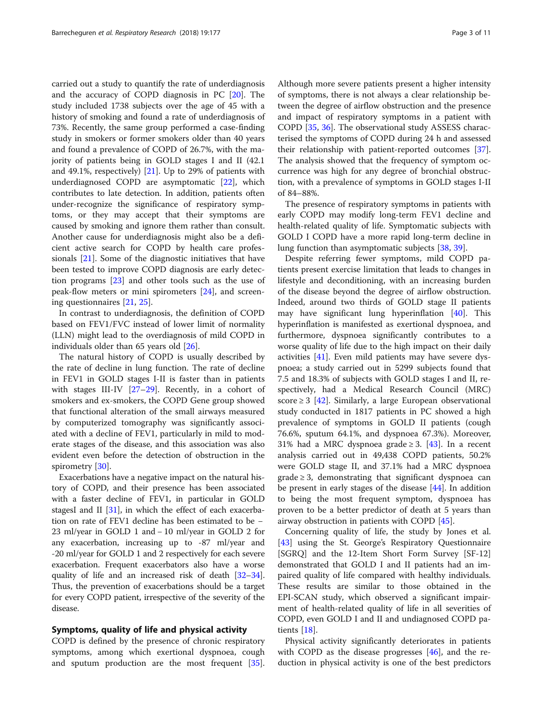carried out a study to quantify the rate of underdiagnosis and the accuracy of COPD diagnosis in PC [\[20](#page-8-0)]. The study included 1738 subjects over the age of 45 with a history of smoking and found a rate of underdiagnosis of 73%. Recently, the same group performed a case-finding study in smokers or former smokers older than 40 years and found a prevalence of COPD of 26.7%, with the majority of patients being in GOLD stages I and II (42.1 and 49.1%, respectively) [[21\]](#page-8-0). Up to 29% of patients with underdiagnosed COPD are asymptomatic [\[22\]](#page-8-0), which contributes to late detection. In addition, patients often under-recognize the significance of respiratory symptoms, or they may accept that their symptoms are caused by smoking and ignore them rather than consult. Another cause for underdiagnosis might also be a deficient active search for COPD by health care professionals [\[21\]](#page-8-0). Some of the diagnostic initiatives that have been tested to improve COPD diagnosis are early detection programs [[23\]](#page-8-0) and other tools such as the use of peak-flow meters or mini spirometers [[24](#page-8-0)], and screening questionnaires [[21](#page-8-0), [25](#page-9-0)].

In contrast to underdiagnosis, the definition of COPD based on FEV1/FVC instead of lower limit of normality (LLN) might lead to the overdiagnosis of mild COPD in individuals older than 65 years old [\[26](#page-9-0)].

The natural history of COPD is usually described by the rate of decline in lung function. The rate of decline in FEV1 in GOLD stages I-II is faster than in patients with stages III-IV [\[27](#page-9-0)–[29\]](#page-9-0). Recently, in a cohort of smokers and ex-smokers, the COPD Gene group showed that functional alteration of the small airways measured by computerized tomography was significantly associated with a decline of FEV1, particularly in mild to moderate stages of the disease, and this association was also evident even before the detection of obstruction in the spirometry [[30\]](#page-9-0).

Exacerbations have a negative impact on the natural history of COPD, and their presence has been associated with a faster decline of FEV1, in particular in GOLD stagesI and II [\[31\]](#page-9-0), in which the effect of each exacerbation on rate of FEV1 decline has been estimated to be − 23 ml/year in GOLD 1 and − 10 ml/year in GOLD 2 for any exacerbation, increasing up to -87 ml/year and -20 ml/year for GOLD 1 and 2 respectively for each severe exacerbation. Frequent exacerbators also have a worse quality of life and an increased risk of death [\[32](#page-9-0)–[34](#page-9-0)]. Thus, the prevention of exacerbations should be a target for every COPD patient, irrespective of the severity of the disease.

## Symptoms, quality of life and physical activity

COPD is defined by the presence of chronic respiratory symptoms, among which exertional dyspnoea, cough and sputum production are the most frequent [\[35](#page-9-0)]. Although more severe patients present a higher intensity of symptoms, there is not always a clear relationship between the degree of airflow obstruction and the presence and impact of respiratory symptoms in a patient with COPD [[35,](#page-9-0) [36\]](#page-9-0). The observational study ASSESS characterised the symptoms of COPD during 24 h and assessed their relationship with patient-reported outcomes [\[37](#page-9-0)]. The analysis showed that the frequency of symptom occurrence was high for any degree of bronchial obstruction, with a prevalence of symptoms in GOLD stages I-II of 84–88%.

The presence of respiratory symptoms in patients with early COPD may modify long-term FEV1 decline and health-related quality of life. Symptomatic subjects with GOLD I COPD have a more rapid long-term decline in lung function than asymptomatic subjects [[38,](#page-9-0) [39\]](#page-9-0).

Despite referring fewer symptoms, mild COPD patients present exercise limitation that leads to changes in lifestyle and deconditioning, with an increasing burden of the disease beyond the degree of airflow obstruction. Indeed, around two thirds of GOLD stage II patients may have significant lung hyperinflation [[40\]](#page-9-0). This hyperinflation is manifested as exertional dyspnoea, and furthermore, dyspnoea significantly contributes to a worse quality of life due to the high impact on their daily activities [\[41](#page-9-0)]. Even mild patients may have severe dyspnoea; a study carried out in 5299 subjects found that 7.5 and 18.3% of subjects with GOLD stages I and II, respectively, had a Medical Research Council (MRC) score  $\geq$  3 [[42](#page-9-0)]. Similarly, a large European observational study conducted in 1817 patients in PC showed a high prevalence of symptoms in GOLD II patients (cough 76.6%, sputum 64.1%, and dyspnoea 67.3%). Moreover, 31% had a MRC dyspnoea grade  $\geq$  3. [[43](#page-9-0)]. In a recent analysis carried out in 49,438 COPD patients, 50.2% were GOLD stage II, and 37.1% had a MRC dyspnoea  $grade \geq 3$ , demonstrating that significant dyspnoea can be present in early stages of the disease [[44](#page-9-0)]. In addition to being the most frequent symptom, dyspnoea has proven to be a better predictor of death at 5 years than airway obstruction in patients with COPD [[45\]](#page-9-0).

Concerning quality of life, the study by Jones et al. [[43\]](#page-9-0) using the St. George's Respiratory Questionnaire [SGRQ] and the 12-Item Short Form Survey [SF-12] demonstrated that GOLD I and II patients had an impaired quality of life compared with healthy individuals. These results are similar to those obtained in the EPI-SCAN study, which observed a significant impairment of health-related quality of life in all severities of COPD, even GOLD I and II and undiagnosed COPD patients [\[18](#page-8-0)].

Physical activity significantly deteriorates in patients with COPD as the disease progresses  $[46]$  $[46]$ , and the reduction in physical activity is one of the best predictors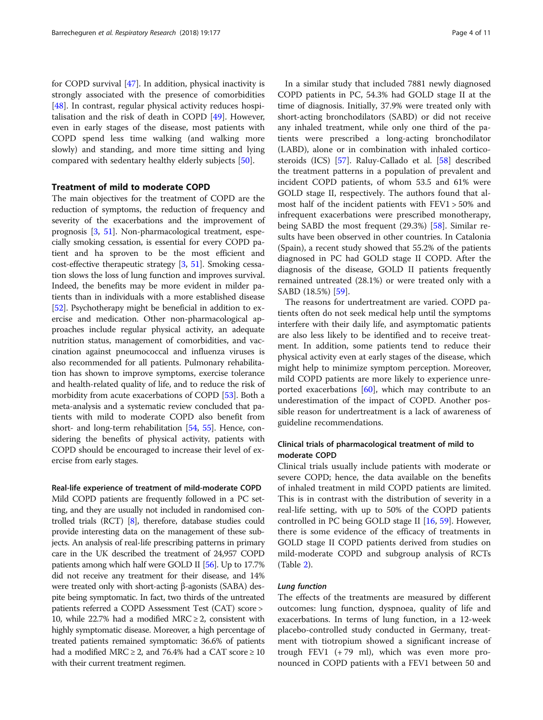for COPD survival [\[47](#page-9-0)]. In addition, physical inactivity is strongly associated with the presence of comorbidities [[48\]](#page-9-0). In contrast, regular physical activity reduces hospitalisation and the risk of death in COPD [[49\]](#page-9-0). However, even in early stages of the disease, most patients with COPD spend less time walking (and walking more slowly) and standing, and more time sitting and lying compared with sedentary healthy elderly subjects [\[50](#page-9-0)].

# Treatment of mild to moderate COPD

The main objectives for the treatment of COPD are the reduction of symptoms, the reduction of frequency and severity of the exacerbations and the improvement of prognosis [[3](#page-8-0), [51](#page-9-0)]. Non-pharmacological treatment, especially smoking cessation, is essential for every COPD patient and ha sproven to be the most efficient and cost-effective therapeutic strategy [[3,](#page-8-0) [51\]](#page-9-0). Smoking cessation slows the loss of lung function and improves survival. Indeed, the benefits may be more evident in milder patients than in individuals with a more established disease [[52](#page-9-0)]. Psychotherapy might be beneficial in addition to exercise and medication. Other non-pharmacological approaches include regular physical activity, an adequate nutrition status, management of comorbidities, and vaccination against pneumococcal and influenza viruses is also recommended for all patients. Pulmonary rehabilitation has shown to improve symptoms, exercise tolerance and health-related quality of life, and to reduce the risk of morbidity from acute exacerbations of COPD [\[53](#page-9-0)]. Both a meta-analysis and a systematic review concluded that patients with mild to moderate COPD also benefit from short- and long-term rehabilitation [[54](#page-9-0), [55\]](#page-9-0). Hence, considering the benefits of physical activity, patients with COPD should be encouraged to increase their level of exercise from early stages.

# Real-life experience of treatment of mild-moderate COPD

Mild COPD patients are frequently followed in a PC setting, and they are usually not included in randomised controlled trials (RCT) [\[8\]](#page-8-0), therefore, database studies could provide interesting data on the management of these subjects. An analysis of real-life prescribing patterns in primary care in the UK described the treatment of 24,957 COPD patients among which half were GOLD II [\[56\]](#page-9-0). Up to 17.7% did not receive any treatment for their disease, and 14% were treated only with short-acting β-agonists (SABA) despite being symptomatic. In fact, two thirds of the untreated patients referred a COPD Assessment Test (CAT) score > 10, while 22.7% had a modified MRC  $\geq$  2, consistent with highly symptomatic disease. Moreover, a high percentage of treated patients remained symptomatic: 36.6% of patients had a modified MRC  $\geq$  2, and 76.4% had a CAT score  $\geq$  10 with their current treatment regimen.

In a similar study that included 7881 newly diagnosed COPD patients in PC, 54.3% had GOLD stage II at the time of diagnosis. Initially, 37.9% were treated only with short-acting bronchodilators (SABD) or did not receive any inhaled treatment, while only one third of the patients were prescribed a long-acting bronchodilator (LABD), alone or in combination with inhaled corticosteroids (ICS) [\[57](#page-9-0)]. Raluy-Callado et al. [[58\]](#page-9-0) described the treatment patterns in a population of prevalent and incident COPD patients, of whom 53.5 and 61% were GOLD stage II, respectively. The authors found that almost half of the incident patients with FEV1 > 50% and infrequent exacerbations were prescribed monotherapy, being SABD the most frequent (29.3%) [\[58](#page-9-0)]. Similar results have been observed in other countries. In Catalonia (Spain), a recent study showed that 55.2% of the patients diagnosed in PC had GOLD stage II COPD. After the diagnosis of the disease, GOLD II patients frequently remained untreated (28.1%) or were treated only with a SABD (18.5%) [[59\]](#page-9-0).

The reasons for undertreatment are varied. COPD patients often do not seek medical help until the symptoms interfere with their daily life, and asymptomatic patients are also less likely to be identified and to receive treatment. In addition, some patients tend to reduce their physical activity even at early stages of the disease, which might help to minimize symptom perception. Moreover, mild COPD patients are more likely to experience unreported exacerbations [\[60](#page-9-0)], which may contribute to an underestimation of the impact of COPD. Another possible reason for undertreatment is a lack of awareness of guideline recommendations.

# Clinical trials of pharmacological treatment of mild to moderate COPD

Clinical trials usually include patients with moderate or severe COPD; hence, the data available on the benefits of inhaled treatment in mild COPD patients are limited. This is in contrast with the distribution of severity in a real-life setting, with up to 50% of the COPD patients controlled in PC being GOLD stage II [\[16](#page-8-0), [59](#page-9-0)]. However, there is some evidence of the efficacy of treatments in GOLD stage II COPD patients derived from studies on mild-moderate COPD and subgroup analysis of RCTs (Table [2\)](#page-4-0).

The effects of the treatments are measured by different outcomes: lung function, dyspnoea, quality of life and exacerbations. In terms of lung function, in a 12-week placebo-controlled study conducted in Germany, treatment with tiotropium showed a significant increase of trough FEV1 (+ 79 ml), which was even more pronounced in COPD patients with a FEV1 between 50 and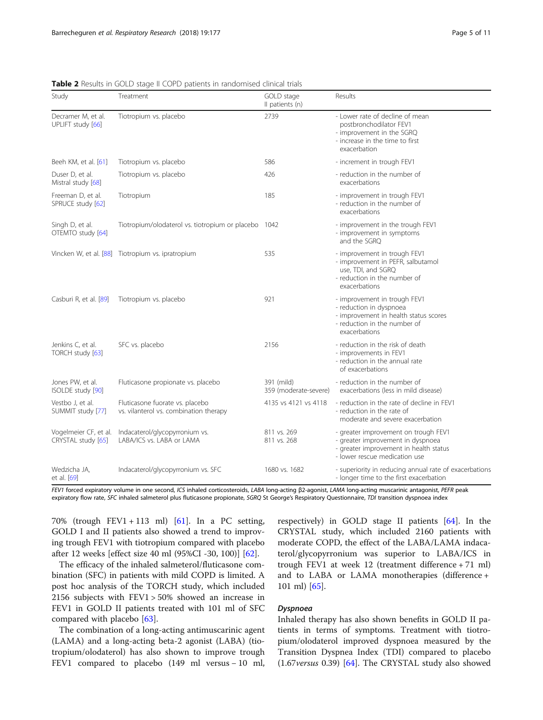| Study                                       | Treatment                                                                 | GOLD stage<br>Il patients (n)       | Results                                                                                                                                              |
|---------------------------------------------|---------------------------------------------------------------------------|-------------------------------------|------------------------------------------------------------------------------------------------------------------------------------------------------|
| Decramer M, et al.<br>UPLIFT study [66]     | Tiotropium vs. placebo                                                    | 2739                                | - Lower rate of decline of mean<br>postbronchodilator FEV1<br>- improvement in the SGRQ<br>- increase in the time to first<br>exacerbation           |
| Beeh KM, et al. [61]                        | Tiotropium vs. placebo                                                    | 586                                 | - increment in trough FEV1                                                                                                                           |
| Duser D, et al.<br>Mistral study [68]       | Tiotropium vs. placebo                                                    | 426                                 | - reduction in the number of<br>exacerbations                                                                                                        |
| Freeman D, et al.<br>SPRUCE study [62]      | Tiotropium                                                                | 185                                 | - improvement in trough FEV1<br>- reduction in the number of<br>exacerbations                                                                        |
| Singh D, et al.<br>OTEMTO study [64]        | Tiotropium/olodaterol vs. tiotropium or placebo 1042                      |                                     | - improvement in the trough FEV1<br>- improvement in symptoms<br>and the SGRQ                                                                        |
|                                             | Vincken W, et al. [88] Tiotropium vs. ipratropium                         | 535                                 | - improvement in trough FEV1<br>- improvement in PEFR, salbutamol<br>use, TDI, and SGRQ<br>- reduction in the number of<br>exacerbations             |
| Casburi R, et al. [89]                      | Tiotropium vs. placebo                                                    | 921                                 | - improvement in trough FEV1<br>- reduction in dyspnoea<br>- improvement in health status scores<br>- reduction in the number of<br>exacerbations    |
| Jenkins C, et al.<br>TORCH study [63]       | SFC vs. placebo                                                           | 2156                                | - reduction in the risk of death<br>- improvements in FEV1<br>- reduction in the annual rate<br>of exacerbations                                     |
| Jones PW, et al.<br>ISOLDE study [90]       | Fluticasone propionate vs. placebo                                        | 391 (mild)<br>359 (moderate-severe) | - reduction in the number of<br>exacerbations (less in mild disease)                                                                                 |
| Vestbo J, et al.<br>SUMMIT study [77]       | Fluticasone fuorate vs. placebo<br>vs. vilanterol vs. combination therapy | 4135 vs 4121 vs 4118                | - reduction in the rate of decline in FEV1<br>- reduction in the rate of<br>moderate and severe exacerbation                                         |
| Vogelmeier CF, et al.<br>CRYSTAL study [65] | Indacaterol/glycopyrronium vs.<br>LABA/ICS vs. LABA or LAMA               | 811 vs. 269<br>811 vs. 268          | - greater improvement on trough FEV1<br>- greater improvement in dyspnoea<br>- greater improvement in health status<br>- lower rescue medication use |
| Wedzicha JA,<br>et al. [69]<br>$F = 14.6$   | Indacaterol/glycopyrronium vs. SFC                                        | 1680 vs. 1682<br>ADA                | - superiority in reducing annual rate of exacerbations<br>- longer time to the first exacerbation<br>1.44441<br>$n = n$                              |

<span id="page-4-0"></span>Table 2 Results in GOLD stage II COPD patients in randomised clinical trials

FEV1 forced expiratory volume in one second, ICS inhaled corticosteroids, LABA long-acting β2-agonist, LAMA long-acting muscarinic antagonist, PEFR peak expiratory flow rate, SFC inhaled salmeterol plus fluticasone propionate, SGRQ St George's Respiratory Questionnaire, TDI transition dyspnoea index

70% (trough FEV1 + 113 ml) [[61\]](#page-9-0). In a PC setting, GOLD I and II patients also showed a trend to improving trough FEV1 with tiotropium compared with placebo after 12 weeks [effect size 40 ml (95%CI -30, 100)] [\[62](#page-9-0)].

The efficacy of the inhaled salmeterol/fluticasone combination (SFC) in patients with mild COPD is limited. A post hoc analysis of the TORCH study, which included 2156 subjects with FEV1 > 50% showed an increase in FEV1 in GOLD II patients treated with 101 ml of SFC compared with placebo [\[63](#page-9-0)].

The combination of a long-acting antimuscarinic agent (LAMA) and a long-acting beta-2 agonist (LABA) (tiotropium/olodaterol) has also shown to improve trough FEV1 compared to placebo (149 ml versus − 10 ml, respectively) in GOLD stage II patients [[64\]](#page-9-0). In the CRYSTAL study, which included 2160 patients with moderate COPD, the effect of the LABA/LAMA indacaterol/glycopyrronium was superior to LABA/ICS in trough FEV1 at week 12 (treatment difference + 71 ml) and to LABA or LAMA monotherapies (difference + 101 ml) [\[65](#page-9-0)].

Inhaled therapy has also shown benefits in GOLD II patients in terms of symptoms. Treatment with tiotropium/olodaterol improved dyspnoea measured by the Transition Dyspnea Index (TDI) compared to placebo (1.67versus 0.39) [[64](#page-9-0)]. The CRYSTAL study also showed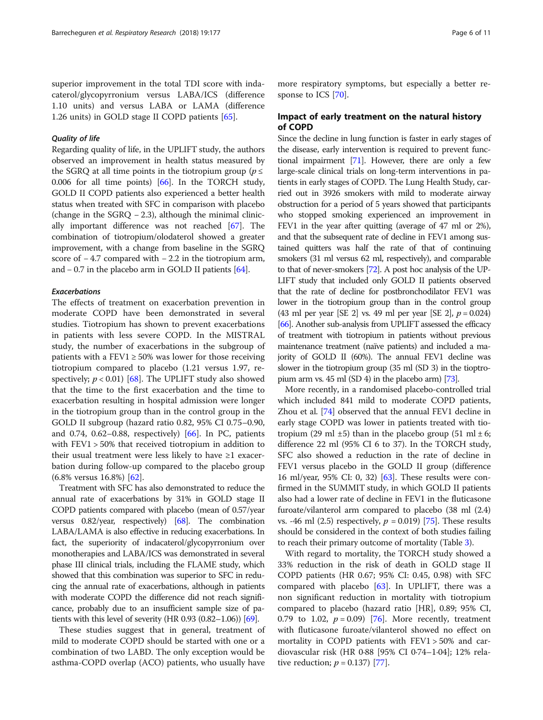superior improvement in the total TDI score with indacaterol/glycopyrronium versus LABA/ICS (difference 1.10 units) and versus LABA or LAMA (difference 1.26 units) in GOLD stage II COPD patients [[65](#page-9-0)].

Regarding quality of life, in the UPLIFT study, the authors observed an improvement in health status measured by the SGRQ at all time points in the tiotropium group ( $p \leq$ 0.006 for all time points) [\[66\]](#page-9-0). In the TORCH study, GOLD II COPD patients also experienced a better health status when treated with SFC in comparison with placebo (change in the  $SGRQ - 2.3$ ), although the minimal clinically important difference was not reached [\[67\]](#page-9-0). The combination of tiotropium/olodaterol showed a greater improvement, with a change from baseline in the SGRQ score of −4.7 compared with −2.2 in the tiotropium arm, and − 0.7 in the placebo arm in GOLD II patients [\[64](#page-9-0)].

# Exacerbations

The effects of treatment on exacerbation prevention in moderate COPD have been demonstrated in several studies. Tiotropium has shown to prevent exacerbations in patients with less severe COPD. In the MISTRAL study, the number of exacerbations in the subgroup of patients with a FEV1  $\geq$  50% was lower for those receiving tiotropium compared to placebo (1.21 versus 1.97, respectively;  $p < 0.01$ ) [\[68](#page-9-0)]. The UPLIFT study also showed that the time to the first exacerbation and the time to exacerbation resulting in hospital admission were longer in the tiotropium group than in the control group in the GOLD II subgroup (hazard ratio 0.82, 95% CI 0.75–0.90, and 0.74, 0.62–0.88, respectively)  $[66]$  $[66]$  $[66]$ . In PC, patients with FEV1 > 50% that received tiotropium in addition to their usual treatment were less likely to have  $\geq 1$  exacerbation during follow-up compared to the placebo group (6.8% versus 16.8%) [\[62\]](#page-9-0).

Treatment with SFC has also demonstrated to reduce the annual rate of exacerbations by 31% in GOLD stage II COPD patients compared with placebo (mean of 0.57/year versus 0.82/year, respectively) [\[68\]](#page-9-0). The combination LABA/LAMA is also effective in reducing exacerbations. In fact, the superiority of indacaterol/glycopyrronium over monotherapies and LABA/ICS was demonstrated in several phase III clinical trials, including the FLAME study, which showed that this combination was superior to SFC in reducing the annual rate of exacerbations, although in patients with moderate COPD the difference did not reach significance, probably due to an insufficient sample size of patients with this level of severity (HR 0.93 (0.82–1.06)) [\[69](#page-9-0)].

These studies suggest that in general, treatment of mild to moderate COPD should be started with one or a combination of two LABD. The only exception would be asthma-COPD overlap (ACO) patients, who usually have

more respiratory symptoms, but especially a better response to ICS [[70](#page-10-0)].

# Impact of early treatment on the natural history of COPD

Since the decline in lung function is faster in early stages of the disease, early intervention is required to prevent functional impairment [\[71](#page-10-0)]. However, there are only a few large-scale clinical trials on long-term interventions in patients in early stages of COPD. The Lung Health Study, carried out in 3926 smokers with mild to moderate airway obstruction for a period of 5 years showed that participants who stopped smoking experienced an improvement in FEV1 in the year after quitting (average of 47 ml or 2%), and that the subsequent rate of decline in FEV1 among sustained quitters was half the rate of that of continuing smokers (31 ml versus 62 ml, respectively), and comparable to that of never-smokers [[72\]](#page-10-0). A post hoc analysis of the UP-LIFT study that included only GOLD II patients observed that the rate of decline for postbronchodilator FEV1 was lower in the tiotropium group than in the control group (43 ml per year [SE 2] vs. 49 ml per year [SE 2],  $p = 0.024$ ) [[66\]](#page-9-0). Another sub-analysis from UPLIFT assessed the efficacy of treatment with tiotropium in patients without previous maintenance treatment (naïve patients) and included a majority of GOLD II (60%). The annual FEV1 decline was slower in the tiotropium group (35 ml (SD 3) in the tioptropium arm vs. 45 ml (SD 4) in the placebo arm) [\[73](#page-10-0)].

More recently, in a randomised placebo-controlled trial which included 841 mild to moderate COPD patients, Zhou et al. [[74\]](#page-10-0) observed that the annual FEV1 decline in early stage COPD was lower in patients treated with tiotropium (29 ml  $\pm$ 5) than in the placebo group (51 ml  $\pm$  6; difference 22 ml (95% CI 6 to 37). In the TORCH study, SFC also showed a reduction in the rate of decline in FEV1 versus placebo in the GOLD II group (difference 16 ml/year, 95% CI: 0, 32) [[63](#page-9-0)]. These results were confirmed in the SUMMIT study, in which GOLD II patients also had a lower rate of decline in FEV1 in the fluticasone furoate/vilanterol arm compared to placebo (38 ml (2.4) vs. -46 ml (2.5) respectively,  $p = 0.019$  [\[75\]](#page-10-0). These results should be considered in the context of both studies failing to reach their primary outcome of mortality (Table [3\)](#page-6-0).

With regard to mortality, the TORCH study showed a 33% reduction in the risk of death in GOLD stage II COPD patients (HR 0.67; 95% CI: 0.45, 0.98) with SFC compared with placebo [\[63](#page-9-0)]. In UPLIFT, there was a non significant reduction in mortality with tiotropium compared to placebo (hazard ratio [HR], 0.89; 95% CI, 0.79 to 1.02,  $p = 0.09$  [\[76](#page-10-0)]. More recently, treatment with fluticasone furoate/vilanterol showed no effect on mortality in COPD patients with FEV1 > 50% and cardiovascular risk (HR 0·88 [95% CI 0·74–1·04]; 12% relative reduction;  $p = 0.137$  [\[77](#page-10-0)].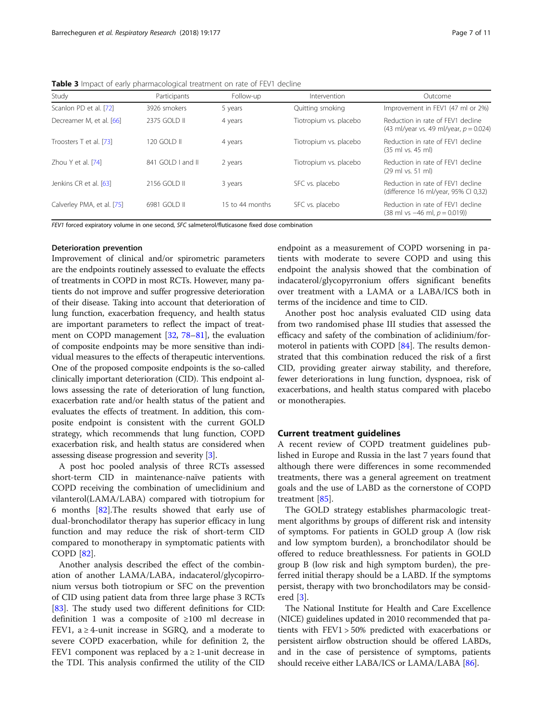<span id="page-6-0"></span>Table 3 Impact of early pharmacological treatment on rate of FEV1 decline

| Study                      | Participants      | Follow-up       | Intervention           | Outcome                                                                              |
|----------------------------|-------------------|-----------------|------------------------|--------------------------------------------------------------------------------------|
| Scanlon PD et al. [72]     | 3926 smokers      | 5 years         | Quitting smoking       | Improvement in FEV1 (47 ml or 2%)                                                    |
| Decreamer M, et al. [66]   | 2375 GOLD II      | 4 years         | Tiotropium vs. placebo | Reduction in rate of FEV1 decline<br>(43 ml/year vs. 49 ml/year, $p = 0.024$ )       |
| Troosters T et al. [73]    | 120 GOI D II      | 4 years         | Tiotropium vs. placebo | Reduction in rate of FFV1 decline<br>$(35 \text{ ml vs. } 45 \text{ ml})$            |
| Zhou Y et al. [74]         | 841 GOLD I and II | 2 years         | Tiotropium vs. placebo | Reduction in rate of FEV1 decline<br>(29 ml vs. 51 ml)                               |
| Jenkins CR et al. [63]     | 2156 GOLD II      | 3 years         | SFC vs. placebo        | Reduction in rate of FFV1 decline<br>(difference 16 ml/year, 95% CI 0,32)            |
| Calverley PMA, et al. [75] | 6981 GOLD II      | 15 to 44 months | SFC vs. placebo        | Reduction in rate of FFV1 decline<br>$(38 \text{ ml vs } -46 \text{ ml}, p = 0.019)$ |

FEV1 forced expiratory volume in one second, SFC salmeterol/fluticasone fixed dose combination

# Deterioration prevention

Improvement of clinical and/or spirometric parameters are the endpoints routinely assessed to evaluate the effects of treatments in COPD in most RCTs. However, many patients do not improve and suffer progressive deterioration of their disease. Taking into account that deterioration of lung function, exacerbation frequency, and health status are important parameters to reflect the impact of treatment on COPD management [[32,](#page-9-0) [78](#page-10-0)–[81](#page-10-0)], the evaluation of composite endpoints may be more sensitive than individual measures to the effects of therapeutic interventions. One of the proposed composite endpoints is the so-called clinically important deterioration (CID). This endpoint allows assessing the rate of deterioration of lung function, exacerbation rate and/or health status of the patient and evaluates the effects of treatment. In addition, this composite endpoint is consistent with the current GOLD strategy, which recommends that lung function, COPD exacerbation risk, and health status are considered when assessing disease progression and severity [\[3](#page-8-0)].

A post hoc pooled analysis of three RCTs assessed short-term CID in maintenance-naïve patients with COPD receiving the combination of umeclidinium and vilanterol(LAMA/LABA) compared with tiotropium for 6 months [[82\]](#page-10-0).The results showed that early use of dual-bronchodilator therapy has superior efficacy in lung function and may reduce the risk of short-term CID compared to monotherapy in symptomatic patients with COPD [[82\]](#page-10-0).

Another analysis described the effect of the combination of another LAMA/LABA, indacaterol/glycopirronium versus both tiotropium or SFC on the prevention of CID using patient data from three large phase 3 RCTs [[83\]](#page-10-0). The study used two different definitions for CID: definition 1 was a composite of ≥100 ml decrease in FEV1, a ≥ 4-unit increase in SGRQ, and a moderate to severe COPD exacerbation, while for definition 2, the FEV1 component was replaced by  $a \ge 1$ -unit decrease in the TDI. This analysis confirmed the utility of the CID endpoint as a measurement of COPD worsening in patients with moderate to severe COPD and using this endpoint the analysis showed that the combination of indacaterol/glycopyrronium offers significant benefits over treatment with a LAMA or a LABA/ICS both in terms of the incidence and time to CID.

Another post hoc analysis evaluated CID using data from two randomised phase III studies that assessed the efficacy and safety of the combination of aclidinium/formoterol in patients with COPD [[84\]](#page-10-0). The results demonstrated that this combination reduced the risk of a first CID, providing greater airway stability, and therefore, fewer deteriorations in lung function, dyspnoea, risk of exacerbations, and health status compared with placebo or monotherapies.

## Current treatment guidelines

A recent review of COPD treatment guidelines published in Europe and Russia in the last 7 years found that although there were differences in some recommended treatments, there was a general agreement on treatment goals and the use of LABD as the cornerstone of COPD treatment [[85\]](#page-10-0).

The GOLD strategy establishes pharmacologic treatment algorithms by groups of different risk and intensity of symptoms. For patients in GOLD group A (low risk and low symptom burden), a bronchodilator should be offered to reduce breathlessness. For patients in GOLD group B (low risk and high symptom burden), the preferred initial therapy should be a LABD. If the symptoms persist, therapy with two bronchodilators may be considered [[3](#page-8-0)].

The National Institute for Health and Care Excellence (NICE) guidelines updated in 2010 recommended that patients with FEV1 > 50% predicted with exacerbations or persistent airflow obstruction should be offered LABDs, and in the case of persistence of symptoms, patients should receive either LABA/ICS or LAMA/LABA [[86](#page-10-0)].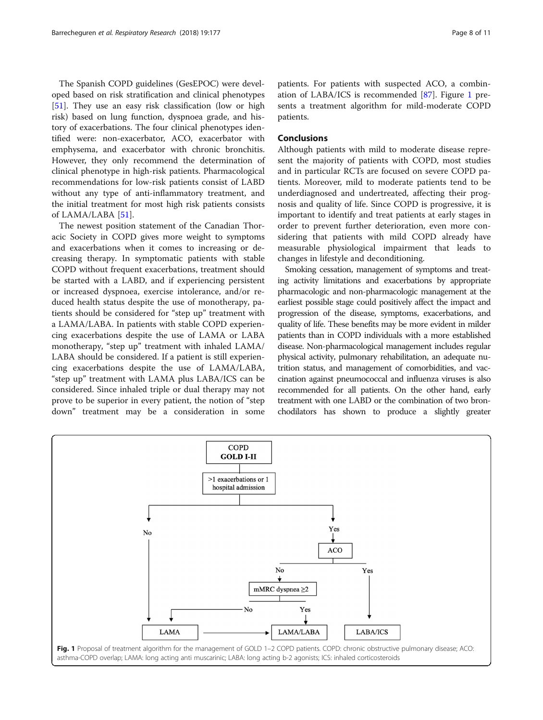The Spanish COPD guidelines (GesEPOC) were developed based on risk stratification and clinical phenotypes [[51\]](#page-9-0). They use an easy risk classification (low or high risk) based on lung function, dyspnoea grade, and history of exacerbations. The four clinical phenotypes identified were: non-exacerbator, ACO, exacerbator with emphysema, and exacerbator with chronic bronchitis. However, they only recommend the determination of clinical phenotype in high-risk patients. Pharmacological recommendations for low-risk patients consist of LABD without any type of anti-inflammatory treatment, and the initial treatment for most high risk patients consists of LAMA/LABA [\[51\]](#page-9-0).

The newest position statement of the Canadian Thoracic Society in COPD gives more weight to symptoms and exacerbations when it comes to increasing or decreasing therapy. In symptomatic patients with stable COPD without frequent exacerbations, treatment should be started with a LABD, and if experiencing persistent or increased dyspnoea, exercise intolerance, and/or reduced health status despite the use of monotherapy, patients should be considered for "step up" treatment with a LAMA/LABA. In patients with stable COPD experiencing exacerbations despite the use of LAMA or LABA monotherapy, "step up" treatment with inhaled LAMA/ LABA should be considered. If a patient is still experiencing exacerbations despite the use of LAMA/LABA, "step up" treatment with LAMA plus LABA/ICS can be considered. Since inhaled triple or dual therapy may not prove to be superior in every patient, the notion of "step down" treatment may be a consideration in some

patients. For patients with suspected ACO, a combination of LABA/ICS is recommended [[87](#page-10-0)]. Figure 1 presents a treatment algorithm for mild-moderate COPD patients.

# Conclusions

Although patients with mild to moderate disease represent the majority of patients with COPD, most studies and in particular RCTs are focused on severe COPD patients. Moreover, mild to moderate patients tend to be underdiagnosed and undertreated, affecting their prognosis and quality of life. Since COPD is progressive, it is important to identify and treat patients at early stages in order to prevent further deterioration, even more considering that patients with mild COPD already have measurable physiological impairment that leads to changes in lifestyle and deconditioning.

Smoking cessation, management of symptoms and treating activity limitations and exacerbations by appropriate pharmacologic and non-pharmacologic management at the earliest possible stage could positively affect the impact and progression of the disease, symptoms, exacerbations, and quality of life. These benefits may be more evident in milder patients than in COPD individuals with a more established disease. Non-pharmacological management includes regular physical activity, pulmonary rehabilitation, an adequate nutrition status, and management of comorbidities, and vaccination against pneumococcal and influenza viruses is also recommended for all patients. On the other hand, early treatment with one LABD or the combination of two bronchodilators has shown to produce a slightly greater

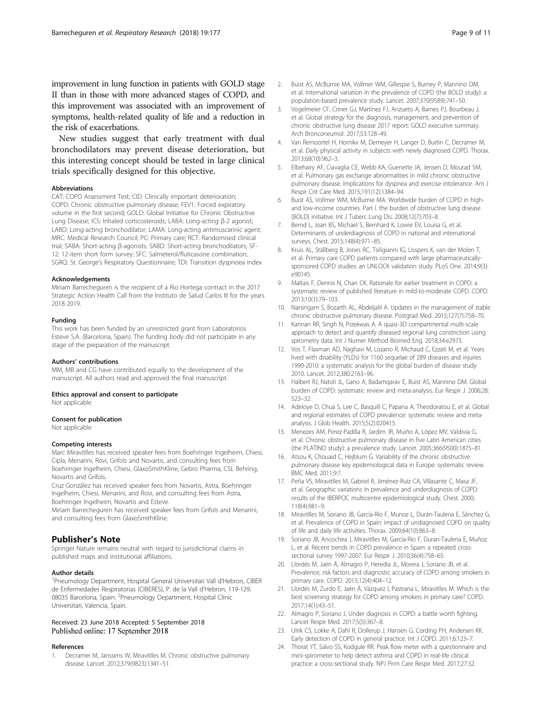<span id="page-8-0"></span>improvement in lung function in patients with GOLD stage II than in those with more advanced stages of COPD, and this improvement was associated with an improvement of symptoms, health-related quality of life and a reduction in the risk of exacerbations.

New studies suggest that early treatment with dual bronchodilators may prevent disease deterioration, but this interesting concept should be tested in large clinical trials specifically designed for this objective.

### Abbreviations

CAT: COPD Assessment Test; CID: Clinically important deterioration; COPD: Chronic obstructive pulmonary disease; FEV1: Forced expiratory volume in the first second; GOLD: Global Initiative for Chronic Obstructive Lung Disease; ICS: Inhaled corticosteroids; LABA: Long-acting β-2 agonist; LABD: Long-acting bronchodilator; LAMA: Long-acting antimuscarinic agent; MRC: Medical Research Council; PC: Primary care; RCT: Randomised clinical trial; SABA: Short-acting β-agonists; SABD: Short-acting bronchodilators; SF-12: 12-item short form survey; SFC: Salmeterol/fluticasone combination; SGRQ: St. George's Respiratory Questionnaire; TDI: Transition dyspnoea index

#### Acknowledgements

Miriam Barrecheguren is the recipient of a Rio Hortega contract in the 2017 Strategic Action Health Call from the Instituto de Salud Carlos III for the years 2018-2019.

### Funding

This work has been funded by an unrestricted grant from Laboratorios Esteve S.A. (Barcelona, Spain). The funding body did not participate in any stage of the preparation of the manuscript.

#### Authors' contributions

MM, MB and CG have contributed equally to the development of the manuscript. All authors read and approved the final manuscript.

# Ethics approval and consent to participate

Not applicable

# Consent for publication

Not applicable

### Competing interests

Marc Miravitlles has received speaker fees from Boehringer Ingelheim, Chiesi, Cipla, Menarini, Rovi, Grifols and Novartis, and consulting fees from Boehringer Ingelheim, Chiesi, GlaxoSmithKline, Gebro Pharma, CSL Behring, Novartis and Grifols.

Cruz González has received speaker fees from Novartis, Astra, Boehringer Ingelheim, Chiesi, Menarini, and Rovi, and consulting fees from Astra, Boehringer Ingelheim, Novartis and Esteve.

Miriam Barrecheguren has received speaker fees from Grifols and Menarini, and consulting fees from GlaxoSmithKline.

# Publisher's Note

Springer Nature remains neutral with regard to jurisdictional claims in published maps and institutional affiliations.

#### Author details

<sup>1</sup>Pneumology Department, Hospital General Universitari Vall d'Hebron, CIBER de Enfermedades Respiratorias (CIBERES), P. de la Vall d'Hebron, 119-129, 08035 Barcelona, Spain. <sup>2</sup>Pneumology Department, Hospital Clínic Universitari, Valencia, Spain.

# Received: 23 June 2018 Accepted: 5 September 2018 Published online: 17 September 2018

#### References

1. Decramer M, Janssens W, Miravitlles M. Chronic obstructive pulmonary disease. Lancet. 2012;379(9823):1341–51.

- 2. Buist AS, McBurnie MA, Vollmer WM, Gillespie S, Burney P, Mannino DM, et al. International variation in the prevalence of COPD (the BOLD study): a population-based prevalence study. Lancet. 2007;370(9589):741–50.
- 3. Vogelmeier CF, Criner GJ, Martínez FJ, Anzueto A, Barnes PJ, Bourbeau J, et al. Global strategy for the diagnosis, management, and prevention of chronic obstructive lung disease 2017 report: GOLD executive summary. Arch Bronconeumol. 2017;53:128–49.
- 4. Van Remoortel H, Hornikx M, Demeyer H, Langer D, Burtin C, Decramer M, et al. Daily physical activity in subjects with newly diagnosed COPD. Thorax. 2013;68(10):962–3.
- 5. Elbehairy AF, Ciavaglia CE, Webb KA, Guenette JA, Jensen D, Mourad SM, et al. Pulmonary gas exchange abnormalities in mild chronic obstructive pulmonary disease. Implications for dyspnea and exercise intolerance. Am J Respir Crit Care Med. 2015;191(12):1384–94.
- 6. Buist AS, Vollmer WM, McBurnie MA. Worldwide burden of COPD in highand low-income countries. Part I. the burden of obstructive lung disease (BOLD) initiative. Int J Tuberc Lung Dis. 2008;12(7):703–8.
- 7. Bernd L, Joan BS, Michael S, Bernhard K, Lowie EV, Louisa G, et al. Determinants of underdiagnosis of COPD in national and international surveys. Chest. 2015;148(4):971–85.
- 8. Kruis AL, Ställberg B, Jones RC, Tsiligianni IG, Lisspers K, van der Molen T, et al. Primary care COPD patients compared with large pharmaceuticallysponsored COPD studies: an UNLOCK validation study. PLoS One. 2014;9(3): e90145.
- Maltais F, Dennis N, Chan CK. Rationale for earlier treatment in COPD: a systematic review of published literature in mild-to-moderate COPD. COPD. 2013;10(1):79–103.
- 10. Narsingam S, Bozarth AL, Abdeljalil A. Updates in the management of stable chronic obstructive pulmonary disease. Postgrad Med. 2015;127(7):758–70.
- 11. Kannan RR, Singh N, Przekwas A. A quasi-3D compartmental multi-scale approach to detect and quantify diseased regional lung constriction using spirometry data. Int J Numer Method Biomed Eng. 2018;34:e2973.
- 12. Vos T, Flaxman AD, Naghavi M, Lozano R, Michaud C, Ezzati M, et al. Years lived with disability (YLDs) for 1160 sequelae of 289 diseases and injuries 1990-2010: a systematic analysis for the global burden of disease study 2010. Lancet. 2012;380:2163–96.
- 13. Halbert RJ, Natoli JL, Gano A, Badamqarav E, Buist AS, Mannino DM. Global burden of COPD: systematic review and meta-analysis. Eur Respir J. 2006;28: 523–32.
- 14. Adeloye D, Chua S, Lee C, Basquill C, Papana A, Theodoratou E, et al. Global and regional estimates of COPD prevalence: systematic review and metaanalysis. J Glob Health. 2015;5(2):020415.
- 15. Menezes AM, Perez-Padilla R, Jardim JR, Muiño A, López MV, Valdivia G, et al. Chronic obstructive pulmonary disease in five Latin American cities (the PLATINO study): a prevalence study. Lancet. 2005;366(9500):1875–81.
- 16. Atsou K, Chouaid C, Hejblum G. Variability of the chronic obstructive pulmonary disease key epidemiological data in Europe: systematic review. BMC Med. 2011;9:7.
- 17. Peña VS, Miravitlles M, Gabriel R, Jiménez-Ruiz CA, Villasante C, Masa JF, et al. Geographic variations in prevalence and underdiagnosis of COPD: results of the IBERPOC multicentre epidemiological study. Chest. 2000; 118(4):981–9.
- 18. Miravitlles M, Soriano JB, García-Río F, Munoz L, Durán-Tauleria E, Sánchez G, et al. Prevalence of COPD in Spain: impact of undiagnosed COPD on quality of life and daily life activities. Thorax. 2009;64(10):863–8.
- 19. Soriano JB, Ancochea J, Miravitlles M, García-Río F, Duran-Tauleria E, Muñoz L, et al. Recent trends in COPD prevalence in Spain: a repeated crosssectional survey 1997-2007. Eur Respir J. 2010;36(4):758–65.
- 20. Llordés M, Jaén Á, Almagro P, Heredia JL, Morera J, Soriano JB, et al. Prevalence, risk factors and diagnostic accuracy of COPD among smokers in primary care. COPD. 2015;12(4):404–12.
- 21. Llordés M, Zurdo E, Jaén Á, Vázquez I, Pastrana L, Miravitlles M. Which is the best screening strategy for COPD among smokers in primary care? COPD. 2017;14(1):43–51.
- 22. Almagro P, Soriano J. Under diagnosis in COPD: a battle worth fighting. Lancet Respir Med. 2017;5(5):367–8.
- 23. Ulrik CS, Lokke A, Dahl R, Dollerup J, Hansen G, Cording PH, Andersen KK. Early detection of COPD in general practice. Int J COPD. 2011;6:123–7.
- 24. Thorat YT, Salvo SS, Kodgule RR. Peak flow meter with a questionnaire and mini-spirometer to help detect asthma and COPD in real-life clinical practice: a cross-sectional study. NPJ Prim Care Respir Med. 2017;27:32.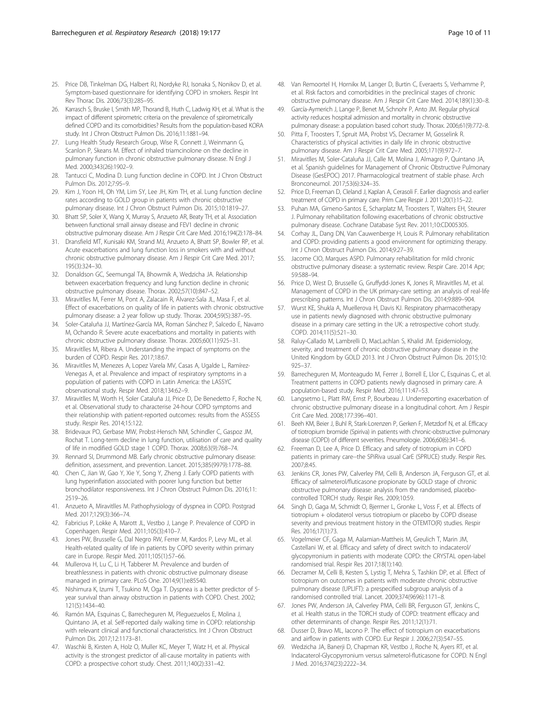- <span id="page-9-0"></span>25. Price DB, Tinkelman DG, Halbert RJ, Nordyke RJ, Isonaka S, Nonikov D, et al. Symptom-based questionnaire for identifying COPD in smokers. Respir Int Rev Thorac Dis. 2006;73(3):285–95.
- 26. Karrasch S, Bruske I, Smith MP, Thorand B, Huth C, Ladwig KH, et al. What is the impact of different spirometric criteria on the prevalence of spirometrically defined COPD and its comorbidities? Results from the population-based KORA study. Int J Chron Obstruct Pulmon Dis. 2016;11:1881–94.
- 27. Lung Health Study Research Group, Wise R, Connett J, Weinmann G, Scanlon P, Skeans M. Effect of inhaled triamcinolone on the decline in pulmonary function in chronic obstructive pulmonary disease. N Engl J Med. 2000;343(26):1902–9.
- 28. Tantucci C, Modina D. Lung function decline in COPD. Int J Chron Obstruct Pulmon Dis. 2012;7:95–9.
- 29. Kim J, Yoon HI, Oh YM, Lim SY, Lee JH, Kim TH, et al. Lung function decline rates according to GOLD group in patients with chronic obstructive pulmonary disease. Int J Chron Obstruct Pulmon Dis. 2015;10:1819–27.
- 30. Bhatt SP, Soler X, Wang X, Murray S, Anzueto AR, Beaty TH, et al. Association between functional small airway disease and FEV1 decline in chronic obstructive pulmonary disease. Am J Respir Crit Care Med. 2016;194(2):178–84.
- 31. Dransfield MT, Kunisaki KM, Strand MJ, Anzueto A, Bhatt SP, Bowler RP, et al. Acute exacerbations and lung function loss in smokers with and without chronic obstructive pulmonary disease. Am J Respir Crit Care Med. 2017; 195(3):324–30.
- 32. Donaldson GC, Seemungal TA, Bhowmik A, Wedzicha JA. Relationship between exacerbation frequency and lung function decline in chronic obstructive pulmonary disease. Thorax. 2002;57(10):847–52.
- 33. Miravitlles M, Ferrer M, Pont A, Zalacain R, Álvarez-Sala JL, Masa F, et al. Effect of exacerbations on quality of life in patients with chronic obstructive pulmonary disease: a 2 year follow up study. Thorax. 2004;59(5):387–95.
- 34. Soler-Cataluña JJ, Martínez-García MA, Roman Sánchez P, Salcedo E, Navarro M, Ochando R. Severe acute exacerbations and mortality in patients with chronic obstructive pulmonary disease. Thorax. 2005;60(11):925–31.
- 35. Miravitlles M, Ribera A. Understanding the impact of symptoms on the burden of COPD. Respir Res. 2017;18:67.
- 36. Miravitlles M, Menezes A, Lopez Varela MV, Casas A, Ugalde L, Ramírez-Venegas A, et al. Prevalence and impact of respiratory symptoms in a population of patients with COPD in Latin America: the LASSYC observational study. Respir Med. 2018;134:62–9.
- 37. Miravitlles M, Worth H, Soler Cataluña JJ, Price D, De Benedetto F, Roche N, et al. Observational study to characterise 24-hour COPD symptoms and their relationship with patient-reported outcomes: results from the ASSESS study. Respir Res. 2014;15:122.
- 38. Bridevaux PO, Gerbase MW, Probst-Hensch NM, Schindler C, Gaspoz JM, Rochat T. Long-term decline in lung function, utilisation of care and quality of life in modified GOLD stage 1 COPD. Thorax. 2008;63(9):768–74.
- 39. Rennard SI, Drummond MB. Early chronic obstructive pulmonary disease: definition, assessment, and prevention. Lancet. 2015;385(9979):1778–88.
- 40. Chen C, Jian W, Gao Y, Xie Y, Song Y, Zheng J. Early COPD patients with lung hyperinflation associated with poorer lung function but better bronchodilator responsiveness. Int J Chron Obstruct Pulmon Dis. 2016;11: 2519–26.
- 41. Anzueto A, Miravitlles M. Pathophysiology of dyspnea in COPD. Postgrad Med. 2017;129(3):366–74.
- 42. Fabricius P, Lokke A, Marott JL, Vestbo J, Lange P. Prevalence of COPD in Copenhagen. Respir Med. 2011;105(3):410–7.
- 43. Jones PW, Brusselle G, Dal Negro RW, Ferrer M, Kardos P, Levy ML, et al. Health-related quality of life in patients by COPD severity within primary care in Europe. Respir Med. 2011;105(1):57–66.
- 44. Mullerova H, Lu C, Li H, Tabberer M. Prevalence and burden of breathlessness in patients with chronic obstructive pulmonary disease managed in primary care. PLoS One. 2014;9(1):e85540.
- 45. Nishimura K, Izumi T, Tsukino M, Oga T. Dyspnea is a better predictor of 5 year survival than airway obstruction in patients with COPD. Chest. 2002; 121(5):1434–40.
- 46. Ramón MA, Esquinas C, Barrecheguren M, Pleguezuelos E, Molina J, Quintano JA, et al. Self-reported daily walking time in COPD: relationship with relevant clinical and functional characteristics. Int J Chron Obstruct Pulmon Dis. 2017;12:1173–81.
- 47. Waschki B, Kirsten A, Holz O, Muller KC, Meyer T, Watz H, et al. Physical activity is the strongest predictor of all-cause mortality in patients with COPD: a prospective cohort study. Chest. 2011;140(2):331–42.
- 48. Van Remoortel H, Hornikx M, Langer D, Burtin C, Everaerts S, Verhamme P, et al. Risk factors and comorbidities in the preclinical stages of chronic obstructive pulmonary disease. Am J Respir Crit Care Med. 2014;189(1):30–8.
- 49. García-Aymerich J, Lange P, Benet M, Schnohr P, Anto JM. Regular physical activity reduces hospital admission and mortality in chronic obstructive pulmonary disease: a population based cohort study. Thorax. 2006;61(9):772–8.
- 50. Pitta F, Troosters T, Spruit MA, Probst VS, Decramer M, Gosselink R. Characteristics of physical activities in daily life in chronic obstructive pulmonary disease. Am J Respir Crit Care Med. 2005;171(9):972–7.
- 51. Miravitlles M, Soler-Cataluña JJ, Calle M, Molina J, Almagro P, Quintano JA, et al. Spanish guidelines for Management of Chronic Obstructive Pulmonary Disease (GesEPOC) 2017. Pharmacological treatment of stable phase. Arch Bronconeumol. 2017;53(6):324–35.
- 52. Price D, Freeman D, Cleland J, Kaplan A, Cerasoli F. Earlier diagnosis and earlier treatment of COPD in primary care. Prim Care Respir J. 2011;20(1):15–22.
- 53. Puhan MA, Gimeno-Santos E, Scharplatz M, Troosters T, Walters EH, Steurer J. Pulmonary rehabilitation following exacerbations of chronic obstructive pulmonary disease. Cochrane Database Syst Rev. 2011;10:CD005305.
- 54. Corhay JL, Dang DN, Van Cauwenberge H, Louis R. Pulmonary rehabilitation and COPD: providing patients a good environment for optimizing therapy. Int J Chron Obstruct Pulmon Dis. 2014;9:27–39.
- 55. Jacome CIO, Marques ASPD. Pulmonary rehabilitation for mild chronic obstructive pulmonary disease: a systematic review. Respir Care. 2014 Apr; 59:588–94.
- 56. Price D, West D, Brusselle G, Gruffydd-Jones K, Jones R, Miravitlles M, et al. Management of COPD in the UK primary-care setting: an analysis of real-life prescribing patterns. Int J Chron Obstruct Pulmon Dis. 2014;9:889–904.
- 57. Wurst KE, Shukla A, Muellerova H, Davis KJ. Respiratory pharmacotherapy use in patients newly diagnosed with chronic obstructive pulmonary disease in a primary care setting in the UK: a retrospective cohort study. COPD. 2014;11(5):521–30.
- 58. Raluy-Callado M, Lambrelli D, MacLachlan S, Khalid JM. Epidemiology, severity, and treatment of chronic obstructive pulmonary disease in the United Kingdom by GOLD 2013. Int J Chron Obstruct Pulmon Dis. 2015;10: 925–37.
- 59. Barrecheguren M, Monteagudo M, Ferrer J, Borrell E, Llor C, Esquinas C, et al. Treatment patterns in COPD patients newly diagnosed in primary care. A population-based study. Respir Med. 2016;111:47–53.
- 60. Langsetmo L, Platt RW, Ernst P, Bourbeau J. Underreporting exacerbation of chronic obstructive pulmonary disease in a longitudinal cohort. Am J Respir Crit Care Med. 2008;177:396–401.
- 61. Beeh KM, Beier J, Buhl R, Stark-Lorenzen P, Gerken F, Metzdorf N, et al. Efficacy of tiotropium bromide (Spiriva) in patients with chronic-obstructive pulmonary disease (COPD) of different severities. Pneumologie. 2006;60(6):341–6.
- 62. Freeman D, Lee A, Price D. Efficacy and safety of tiotropium in COPD patients in primary care--the SPiRiva usual CarE (SPRUCE) study. Respir Res. 2007;8:45.
- 63. Jenkins CR, Jones PW, Calverley PM, Celli B, Anderson JA, Ferguson GT, et al. Efficacy of salmeterol/fluticasone propionate by GOLD stage of chronic obstructive pulmonary disease: analysis from the randomised, placebocontrolled TORCH study. Respir Res. 2009;10:59.
- 64. Singh D, Gaga M, Schmidt O, Bjermer L, Gronke L, Voss F, et al. Effects of tiotropium + olodaterol versus tiotropium or placebo by COPD disease severity and previous treatment history in the OTEMTO(R) studies. Respir Res. 2016;17(1):73.
- 65. Vogelmeier CF, Gaga M, Aalamian-Mattheis M, Greulich T, Marin JM, Castellani W, et al. Efficacy and safety of direct switch to indacaterol/ glycopyrronium in patients with moderate COPD: the CRYSTAL open-label randomised trial. Respir Res 2017;18(1):140.
- 66. Decramer M, Celli B, Kesten S, Lystig T, Mehra S, Tashkin DP, et al. Effect of tiotropium on outcomes in patients with moderate chronic obstructive pulmonary disease (UPLIFT): a prespecified subgroup analysis of a randomised controlled trial. Lancet. 2009;374(9696):1171–8.
- 67. Jones PW, Anderson JA, Calverley PMA, Celli BR, Ferguson GT, Jenkins C, et al. Health status in the TORCH study of COPD: treatment efficacy and other determinants of change. Respir Res. 2011;12(1):71.
- 68. Dusser D, Bravo ML, Iacono P. The effect of tiotropium on exacerbations and airflow in patients with COPD. Eur Respir J. 2006;27(3):547–55.
- 69. Wedzicha JA, Banerji D, Chapman KR, Vestbo J, Roche N, Ayers RT, et al. Indacaterol-Glycopyrronium versus salmeterol-fluticasone for COPD. N Engl J Med. 2016;374(23):2222–34.